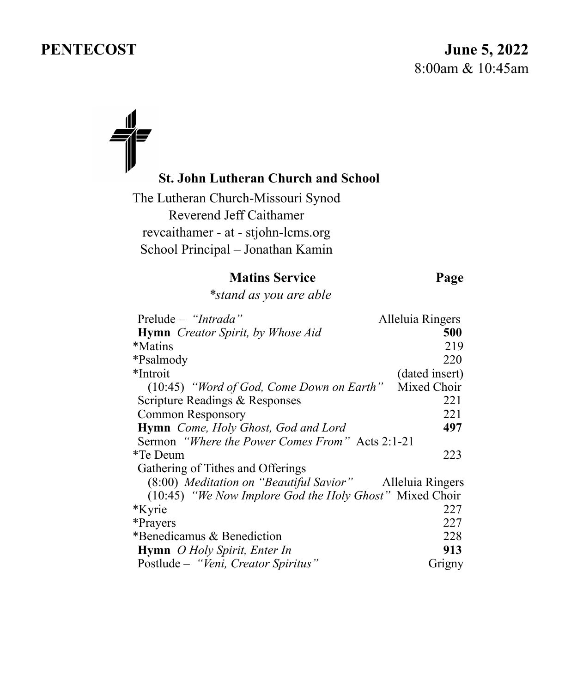# **PENTECOST** June 5, 2022 8:00am & 10:45am

## **St. John Lutheran Church and School**

The Lutheran Church-Missouri Synod Reverend Jeff Caithamer revcaithamer - at - stjohn-lcms.org School Principal – Jonathan Kamin

### **Matins Service Page**

*\*stand as you are able* 

| Prelude - "Intrada"                                      | Alleluia Ringers |
|----------------------------------------------------------|------------------|
| <b>Hymn</b> Creator Spirit, by Whose Aid                 | 500              |
| *Matins                                                  | 219              |
| *Psalmody                                                | 220              |
| *Introit                                                 | (dated insert)   |
| (10:45) "Word of God, Come Down on Earth" Mixed Choir    |                  |
| Scripture Readings & Responses                           | 221              |
| Common Responsory                                        | 221              |
| <b>Hymn</b> Come, Holy Ghost, God and Lord               | 497              |
| Sermon "Where the Power Comes From" Acts 2:1-21          |                  |
| *Te Deum                                                 | 223              |
| Gathering of Tithes and Offerings                        |                  |
| (8:00) Meditation on "Beautiful Savior" Alleluia Ringers |                  |
| (10:45) "We Now Implore God the Holy Ghost" Mixed Choir  |                  |
| *Kyrie                                                   | 227              |
| *Prayers                                                 | 227              |
| *Benedicamus & Benediction                               | 228              |
| <b>Hymn</b> <i>O Holy Spirit, Enter In</i>               | 913              |
| Postlude - "Veni, Creator Spiritus"                      | Grigny           |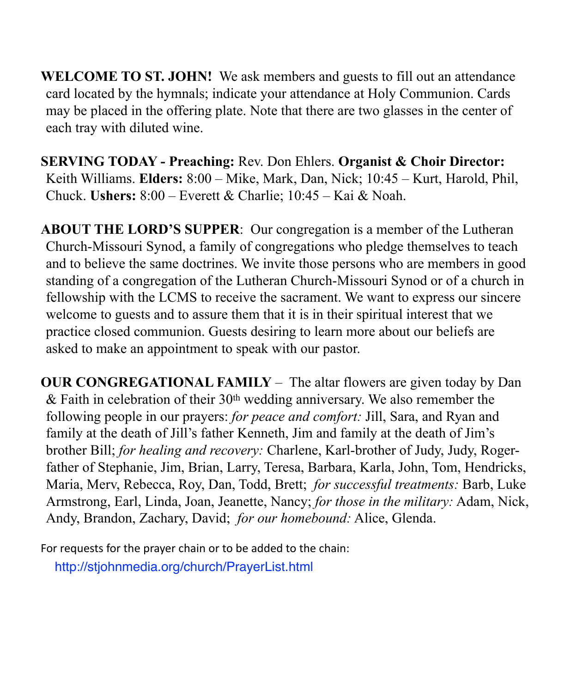**WELCOME TO ST. JOHN!** We ask members and guests to fill out an attendance card located by the hymnals; indicate your attendance at Holy Communion. Cards may be placed in the offering plate. Note that there are two glasses in the center of each tray with diluted wine.

**SERVING TODAY - Preaching:** Rev. Don Ehlers. **Organist & Choir Director:**  Keith Williams. **Elders:** 8:00 – Mike, Mark, Dan, Nick; 10:45 – Kurt, Harold, Phil, Chuck. **Ushers:** 8:00 – Everett & Charlie; 10:45 – Kai & Noah.

**ABOUT THE LORD'S SUPPER**: Our congregation is a member of the Lutheran Church-Missouri Synod, a family of congregations who pledge themselves to teach and to believe the same doctrines. We invite those persons who are members in good standing of a congregation of the Lutheran Church-Missouri Synod or of a church in fellowship with the LCMS to receive the sacrament. We want to express our sincere welcome to guests and to assure them that it is in their spiritual interest that we practice closed communion. Guests desiring to learn more about our beliefs are asked to make an appointment to speak with our pastor.

**OUR CONGREGATIONAL FAMILY** *–* The altar flowers are given today by Dan  $&$  Faith in celebration of their 30<sup>th</sup> wedding anniversary. We also remember the following people in our prayers: *for peace and comfort:* Jill, Sara, and Ryan and family at the death of Jill's father Kenneth, Jim and family at the death of Jim's brother Bill; *for healing and recovery:* Charlene, Karl-brother of Judy, Judy, Rogerfather of Stephanie, Jim, Brian, Larry, Teresa, Barbara, Karla, John, Tom, Hendricks, Maria, Merv, Rebecca, Roy, Dan, Todd, Brett; *for successful treatments:* Barb, Luke Armstrong, Earl, Linda, Joan, Jeanette, Nancy; *for those in the military:* Adam, Nick, Andy, Brandon, Zachary, David; *for our homebound:* Alice, Glenda.

For requests for the prayer chain or to be added to the chain: http://stjohnmedia.org/church/PrayerList.html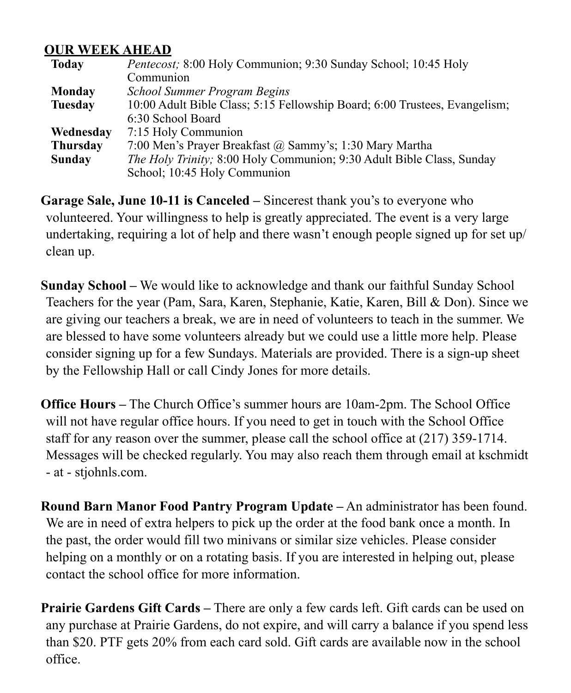### **OUR WEEK AHEAD**

| <b>Today</b>    | <i>Pentecost</i> ; 8:00 Holy Communion; 9:30 Sunday School; 10:45 Holy        |  |
|-----------------|-------------------------------------------------------------------------------|--|
|                 | Communion                                                                     |  |
| Monday          | School Summer Program Begins                                                  |  |
| <b>Tuesday</b>  | 10:00 Adult Bible Class; 5:15 Fellowship Board; 6:00 Trustees, Evangelism;    |  |
|                 | 6:30 School Board                                                             |  |
| Wednesday       | 7:15 Holy Communion                                                           |  |
| <b>Thursday</b> | 7:00 Men's Prayer Breakfast @ Sammy's; 1:30 Mary Martha                       |  |
| <b>Sunday</b>   | <i>The Holy Trinity</i> ; 8:00 Holy Communion; 9:30 Adult Bible Class, Sunday |  |
|                 | School; 10:45 Holy Communion                                                  |  |

**Garage Sale, June 10-11 is Canceled –** Sincerest thank you's to everyone who volunteered. Your willingness to help is greatly appreciated. The event is a very large undertaking, requiring a lot of help and there wasn't enough people signed up for set up/ clean up.

**Sunday School –** We would like to acknowledge and thank our faithful Sunday School Teachers for the year (Pam, Sara, Karen, Stephanie, Katie, Karen, Bill & Don). Since we are giving our teachers a break, we are in need of volunteers to teach in the summer. We are blessed to have some volunteers already but we could use a little more help. Please consider signing up for a few Sundays. Materials are provided. There is a sign-up sheet by the Fellowship Hall or call Cindy Jones for more details.

**Office Hours –** The Church Office's summer hours are 10am-2pm. The School Office will not have regular office hours. If you need to get in touch with the School Office staff for any reason over the summer, please call the school office at (217) 359-1714. Messages will be checked regularly. You may also reach them through email at kschmidt - at - stjohnls.com.

**Round Barn Manor Food Pantry Program Update –** An administrator has been found. We are in need of extra helpers to pick up the order at the food bank once a month. In the past, the order would fill two minivans or similar size vehicles. Please consider helping on a monthly or on a rotating basis. If you are interested in helping out, please contact the school office for more information.

**Prairie Gardens Gift Cards –** There are only a few cards left. Gift cards can be used on any purchase at Prairie Gardens, do not expire, and will carry a balance if you spend less than \$20. PTF gets 20% from each card sold. Gift cards are available now in the school office.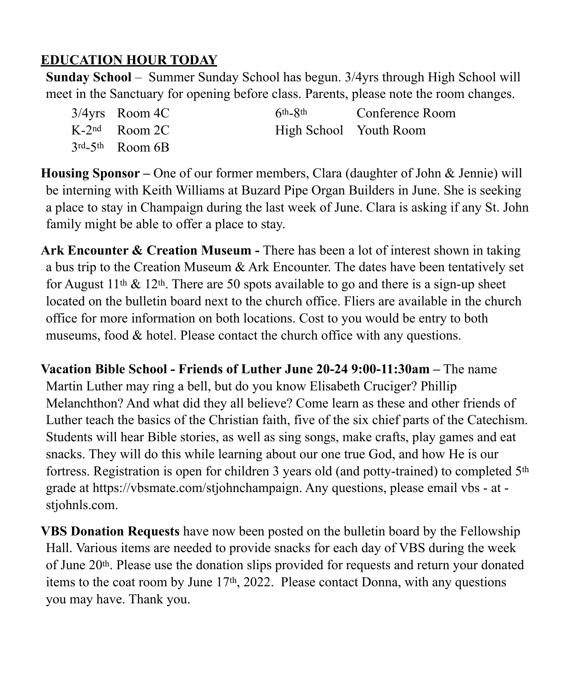## **EDUCATION HOUR TODAY**

**Sunday School** – Summer Sunday School has begun. 3/4yrs through High School will meet in the Sanctuary for opening before class. Parents, please note the room changes.

| $3/4$ yrs Room 4C   | $6th$ - $8th$          | Conference Room |
|---------------------|------------------------|-----------------|
| $K-2nd$ Room 2C     | High School Youth Room |                 |
| $3rd - 5th$ Room 6B |                        |                 |

**Housing Sponsor –** One of our former members, Clara (daughter of John & Jennie) will be interning with Keith Williams at Buzard Pipe Organ Builders in June. She is seeking a place to stay in Champaign during the last week of June. Clara is asking if any St. John family might be able to offer a place to stay.

**Ark Encounter & Creation Museum -** There has been a lot of interest shown in taking a bus trip to the Creation Museum & Ark Encounter. The dates have been tentatively set for August 11<sup>th</sup> & 12<sup>th</sup>. There are 50 spots available to go and there is a sign-up sheet located on the bulletin board next to the church office. Fliers are available in the church office for more information on both locations. Cost to you would be entry to both museums, food & hotel. Please contact the church office with any questions.

**Vacation Bible School - Friends of Luther June 20-24 9:00-11:30am –** The name Martin Luther may ring a bell, but do you know Elisabeth Cruciger? Phillip Melanchthon? And what did they all believe? Come learn as these and other friends of Luther teach the basics of the Christian faith, five of the six chief parts of the Catechism. Students will hear Bible stories, as well as sing songs, make crafts, play games and eat snacks. They will do this while learning about our one true God, and how He is our fortress. Registration is open for children 3 years old (and potty-trained) to completed 5th grade at https://vbsmate.com/stjohnchampaign. Any questions, please email vbs - at stjohnls.com.

**VBS Donation Requests** have now been posted on the bulletin board by the Fellowship Hall. Various items are needed to provide snacks for each day of VBS during the week of June 20th. Please use the donation slips provided for requests and return your donated items to the coat room by June  $17<sup>th</sup>$ , 2022. Please contact Donna, with any questions you may have. Thank you.